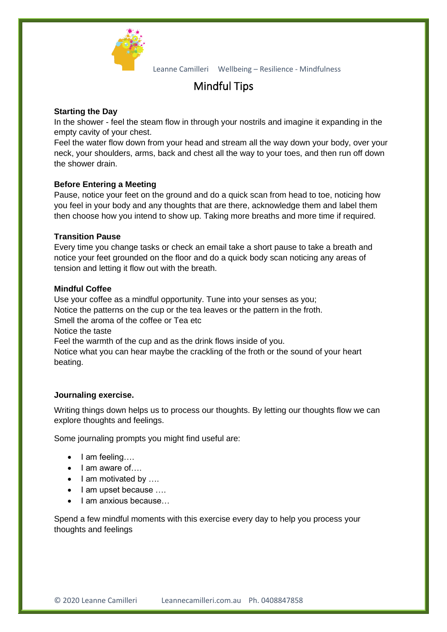

Leanne Camilleri Wellbeing – Resilience - Mindfulness

# Mindful Tips

## **Starting the Day**

In the shower - feel the steam flow in through your nostrils and imagine it expanding in the empty cavity of your chest.

Feel the water flow down from your head and stream all the way down your body, over your neck, your shoulders, arms, back and chest all the way to your toes, and then run off down the shower drain.

## **Before Entering a Meeting**

Pause, notice your feet on the ground and do a quick scan from head to toe, noticing how you feel in your body and any thoughts that are there, acknowledge them and label them then choose how you intend to show up. Taking more breaths and more time if required.

#### **Transition Pause**

Every time you change tasks or check an email take a short pause to take a breath and notice your feet grounded on the floor and do a quick body scan noticing any areas of tension and letting it flow out with the breath.

#### **Mindful Coffee**

Use your coffee as a mindful opportunity. Tune into your senses as you; Notice the patterns on the cup or the tea leaves or the pattern in the froth. Smell the aroma of the coffee or Tea etc. Notice the taste Feel the warmth of the cup and as the drink flows inside of you. Notice what you can hear maybe the crackling of the froth or the sound of your heart beating.

#### **Journaling exercise.**

Writing things down helps us to process our thoughts. By letting our thoughts flow we can explore thoughts and feelings.

Some journaling prompts you might find useful are:

- I am feeling….
- I am aware of....
- I am motivated by ....
- I am upset because ....
- I am anxious because...

Spend a few mindful moments with this exercise every day to help you process your thoughts and feelings